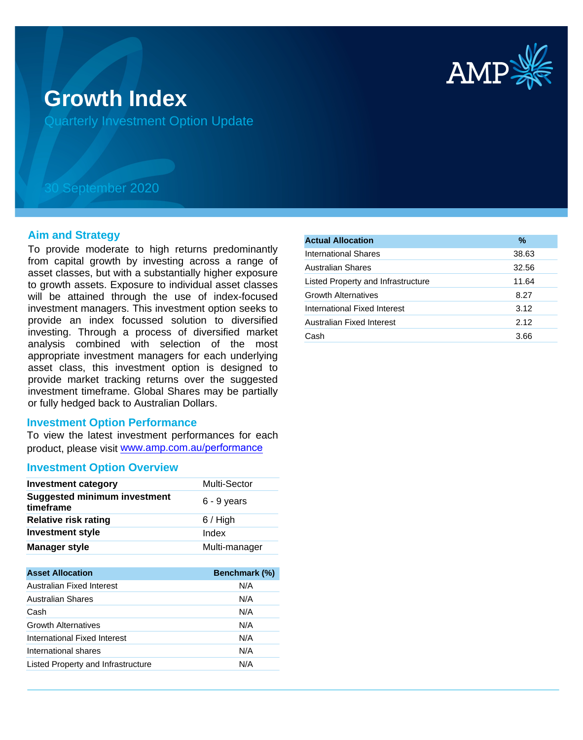

# **Growth Index**

Quarterly Investment Option Update

## 30 September 2020

#### **Aim and Strategy**

To provide moderate to high returns predominantly from capital growth by investing across a range of asset classes, but with a substantially higher exposure to growth assets. Exposure to individual asset classes will be attained through the use of index-focused investment managers. This investment option seeks to provide an index focussed solution to diversified investing. Through a process of diversified market analysis combined with selection of the most appropriate investment managers for each underlying asset class, this investment option is designed to provide market tracking returns over the suggested investment timeframe. Global Shares may be partially or fully hedged back to Australian Dollars.

#### **Investment Option Performance**

To view the latest investment performances for each product, please visit www.amp.com.au/performance

#### **Investment Option Overview**

| <b>Investment category</b>                       | <b>Multi-Sector</b> |
|--------------------------------------------------|---------------------|
| <b>Suggested minimum investment</b><br>timeframe | $6 - 9$ years       |
| <b>Relative risk rating</b>                      | $6/$ High           |
| <b>Investment style</b>                          | Index               |
| <b>Manager style</b>                             | Multi-manager       |

| <b>Asset Allocation</b>            | Benchmark (%) |
|------------------------------------|---------------|
| Australian Fixed Interest          | N/A           |
| <b>Australian Shares</b>           | N/A           |
| Cash                               | N/A           |
| <b>Growth Alternatives</b>         | N/A           |
| International Fixed Interest       | N/A           |
| International shares               | N/A           |
| Listed Property and Infrastructure | N/A           |

| <b>Actual Allocation</b>           | $\frac{9}{6}$ |
|------------------------------------|---------------|
| International Shares               | 38.63         |
| <b>Australian Shares</b>           | 32.56         |
| Listed Property and Infrastructure | 11.64         |
| <b>Growth Alternatives</b>         | 8.27          |
| International Fixed Interest       | 3.12          |
| Australian Fixed Interest          | 2.12          |
| Cash                               | 3.66          |